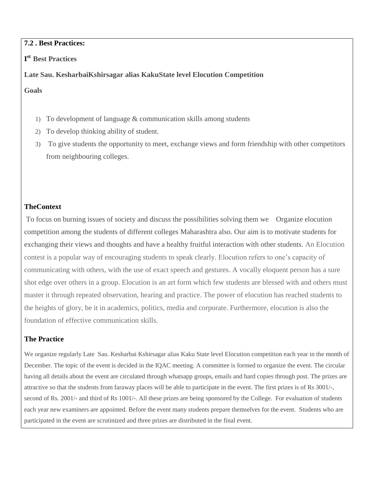## **7.2 . Best Practices:**

# **I st Best Practices**

## **Late Sau. KesharbaiKshirsagar alias KakuState level Elocution Competition**

**Goals**

- 1) To development of language & communication skills among students
- 2) To develop thinking ability of student.
- 3) To give students the opportunity to meet, exchange views and form friendship with other competitors from neighbouring colleges.

## **TheContext**

To focus on burning issues of society and discuss the possibilities solving them we Organize elocution competition among the students of different colleges Maharashtra also. Our aim is to motivate students for exchanging their views and thoughts and have a healthy fruitful interaction with other students. An Elocution contest is a popular way of encouraging students to speak clearly. Elocution refers to one's capacity of communicating with others, with the use of exact speech and gestures. A vocally eloquent person has a sure shot edge over others in a group. Elocution is an art form which few students are blessed with and others must master it through repeated observation, hearing and practice. The power of elocution has reached students to the heights of glory, be it in academics, politics, media and corporate. Furthermore, elocution is also the foundation of effective communication skills.

## **The Practice**

We organize regularly Late Sau. Kesharbai Kshirsagar alias Kaku State level Elocution competition each year in the month of December. The topic of the event is decided in the IQAC meeting. A committee is formed to organize the event. The circular having all details about the event are circulated through whatsapp groups, emails and hard copies through post. The prizes are attractive so that the students from faraway places will be able to participate in the event. The first prizes is of Rs 3001/-, second of Rs. 2001/- and third of Rs 1001/-. All these prizes are being sponsored by the College. For evaluation of students each year new examiners are appointed. Before the event many students prepare themselves for the event. Students who are participated in the event are scrutinized and three prizes are distributed in the final event.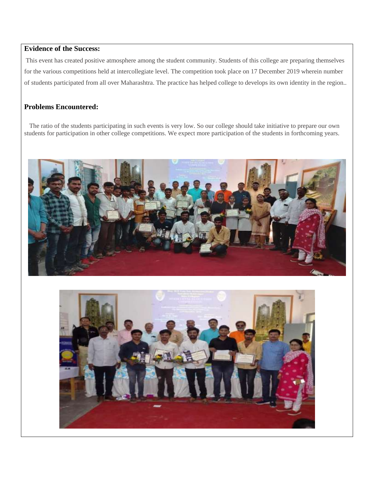## **Evidence of the Success:**

This event has created positive atmosphere among the student community. Students of this college are preparing themselves for the various competitions held at intercollegiate level. The competition took place on 17 December 2019 wherein number of students participated from all over Maharashtra. The practice has helped college to develops its own identity in the region..

### **Problems Encountered:**

The ratio of the students participating in such events is very low. So our college should take initiative to prepare our own students for participation in other college competitions. We expect more participation of the students in forthcoming years.



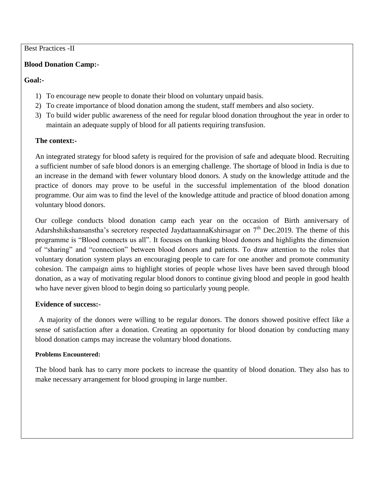## Best Practices -II

### **Blood Donation Camp:-**

### **Goal:-**

- 1) To encourage new people to donate their blood on voluntary unpaid basis.
- 2) To create importance of blood donation among the student, staff members and also society.
- 3) To build wider public awareness of the need for regular blood donation throughout the year in order to maintain an adequate supply of blood for all patients requiring transfusion.

#### **The context:-**

An integrated strategy for blood safety is required for the provision of safe and adequate blood. Recruiting a sufficient number of safe blood donors is an emerging challenge. The shortage of blood in India is due to an increase in the demand with fewer voluntary blood donors. A study on the knowledge attitude and the practice of donors may prove to be useful in the successful implementation of the blood donation programme. Our aim was to find the level of the knowledge attitude and practice of blood donation among voluntary blood donors.

Our college conducts blood donation camp each year on the occasion of Birth anniversary of Adarshshikshansanstha's secretory respected JaydattaannaKshirsagar on 7<sup>th</sup> Dec.2019. The theme of this programme is "Blood connects us all". It focuses on thanking blood donors and highlights the dimension of "sharing" and "connection" between blood donors and patients. To draw attention to the roles that voluntary donation system plays an encouraging people to care for one another and promote community cohesion. The campaign aims to highlight stories of people whose lives have been saved through blood donation, as a way of motivating regular blood donors to continue giving blood and people in good health who have never given blood to begin doing so particularly young people.

#### **Evidence of success:-**

 A majority of the donors were willing to be regular donors. The donors showed positive effect like a sense of satisfaction after a donation. Creating an opportunity for blood donation by conducting many blood donation camps may increase the voluntary blood donations.

#### **Problems Encountered:**

The blood bank has to carry more pockets to increase the quantity of blood donation. They also has to make necessary arrangement for blood grouping in large number.